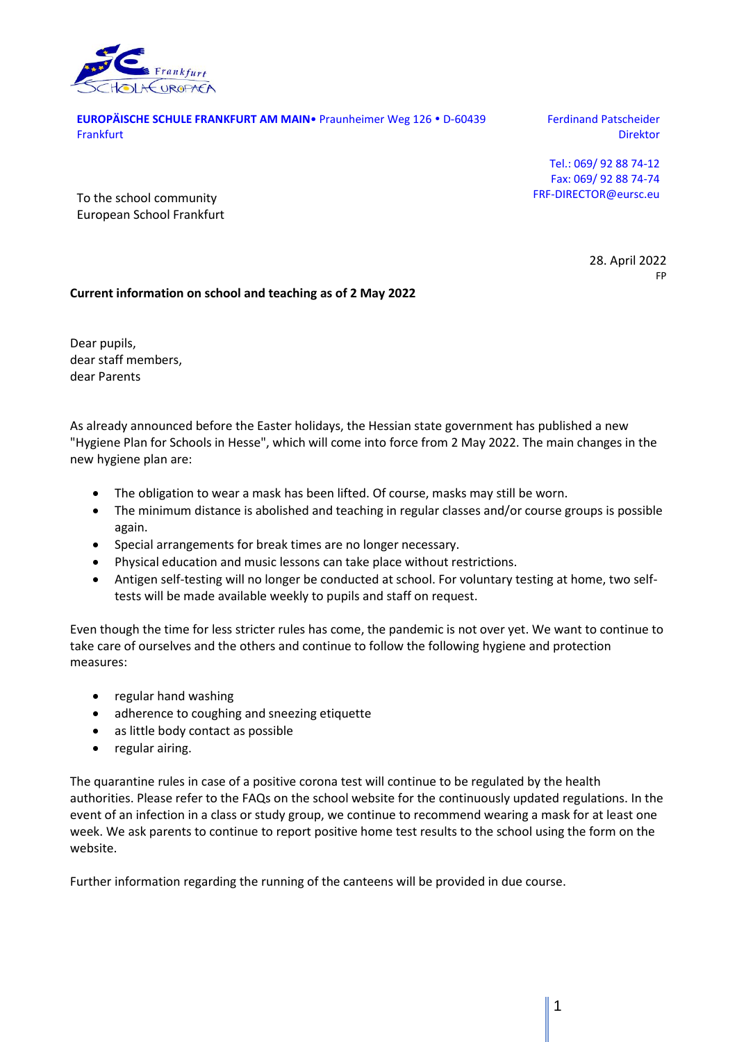

**EUROPÄISCHE SCHULE FRANKFURT AM MAIN** Praunheimer Weg 126 · D-60439 **Frankfurt** 

Ferdinand Patscheider Direktor

Tel.: 069/ 92 88 74-12 Fax: 069/ 92 88 74-74 FRF-DIRECTOR@eursc.eu

To the school community European School Frankfurt

> 28. April 2022 FP

## **Current information on school and teaching as of 2 May 2022**

Dear pupils, dear staff members, dear Parents

As already announced before the Easter holidays, the Hessian state government has published a new "Hygiene Plan for Schools in Hesse", which will come into force from 2 May 2022. The main changes in the new hygiene plan are:

- The obligation to wear a mask has been lifted. Of course, masks may still be worn.
- The minimum distance is abolished and teaching in regular classes and/or course groups is possible again.
- Special arrangements for break times are no longer necessary.
- Physical education and music lessons can take place without restrictions.
- Antigen self-testing will no longer be conducted at school. For voluntary testing at home, two selftests will be made available weekly to pupils and staff on request.

Even though the time for less stricter rules has come, the pandemic is not over yet. We want to continue to take care of ourselves and the others and continue to follow the following hygiene and protection measures:

- regular hand washing
- adherence to coughing and sneezing etiquette
- as little body contact as possible
- regular airing.

The quarantine rules in case of a positive corona test will continue to be regulated by the health authorities. Please refer to the FAQs on the school website for the continuously updated regulations. In the event of an infection in a class or study group, we continue to recommend wearing a mask for at least one week. We ask parents to continue to report positive home test results to the school using the form on the website.

Further information regarding the running of the canteens will be provided in due course.